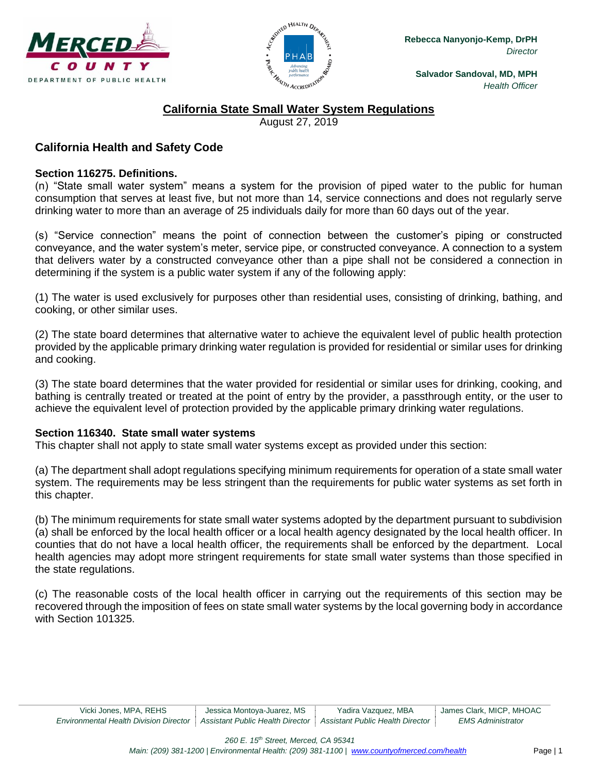



# **California State Small Water System Regulations**

August 27, 2019

# **California Health and Safety Code**

#### **Section 116275. Definitions.**

(n) "State small water system" means a system for the provision of piped water to the public for human consumption that serves at least five, but not more than 14, service connections and does not regularly serve drinking water to more than an average of 25 individuals daily for more than 60 days out of the year.

(s) "Service connection" means the point of connection between the customer's piping or constructed conveyance, and the water system's meter, service pipe, or constructed conveyance. A connection to a system that delivers water by a constructed conveyance other than a pipe shall not be considered a connection in determining if the system is a public water system if any of the following apply:

(1) The water is used exclusively for purposes other than residential uses, consisting of drinking, bathing, and cooking, or other similar uses.

(2) The state board determines that alternative water to achieve the equivalent level of public health protection provided by the applicable primary drinking water regulation is provided for residential or similar uses for drinking and cooking.

(3) The state board determines that the water provided for residential or similar uses for drinking, cooking, and bathing is centrally treated or treated at the point of entry by the provider, a passthrough entity, or the user to achieve the equivalent level of protection provided by the applicable primary drinking water regulations.

#### **Section 116340. State small water systems**

This chapter shall not apply to state small water systems except as provided under this section:

(a) The department shall adopt regulations specifying minimum requirements for operation of a state small water system. The requirements may be less stringent than the requirements for public water systems as set forth in this chapter.

(b) The minimum requirements for state small water systems adopted by the department pursuant to subdivision (a) shall be enforced by the local health officer or a local health agency designated by the local health officer. In counties that do not have a local health officer, the requirements shall be enforced by the department. Local health agencies may adopt more stringent requirements for state small water systems than those specified in the state regulations.

(c) The reasonable costs of the local health officer in carrying out the requirements of this section may be recovered through the imposition of fees on state small water systems by the local governing body in accordance with Section 101325.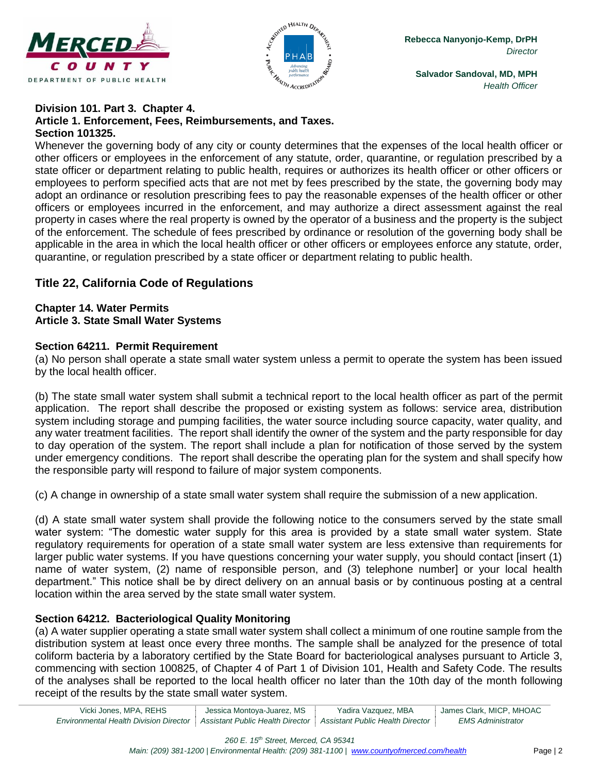



#### **Division 101. Part 3. Chapter 4. Article 1. Enforcement, Fees, Reimbursements, and Taxes. Section 101325.**

Whenever the governing body of any city or county determines that the expenses of the local health officer or other officers or employees in the enforcement of any statute, order, quarantine, or regulation prescribed by a state officer or department relating to public health, requires or authorizes its health officer or other officers or employees to perform specified acts that are not met by fees prescribed by the state, the governing body may adopt an ordinance or resolution prescribing fees to pay the reasonable expenses of the health officer or other officers or employees incurred in the enforcement, and may authorize a direct assessment against the real property in cases where the real property is owned by the operator of a business and the property is the subject of the enforcement. The schedule of fees prescribed by ordinance or resolution of the governing body shall be applicable in the area in which the local health officer or other officers or employees enforce any statute, order, quarantine, or regulation prescribed by a state officer or department relating to public health.

# **Title 22, California Code of Regulations**

### **Chapter 14. Water Permits Article 3. State Small Water Systems**

## **Section 64211. Permit Requirement**

(a) No person shall operate a state small water system unless a permit to operate the system has been issued by the local health officer.

(b) The state small water system shall submit a technical report to the local health officer as part of the permit application. The report shall describe the proposed or existing system as follows: service area, distribution system including storage and pumping facilities, the water source including source capacity, water quality, and any water treatment facilities. The report shall identify the owner of the system and the party responsible for day to day operation of the system. The report shall include a plan for notification of those served by the system under emergency conditions. The report shall describe the operating plan for the system and shall specify how the responsible party will respond to failure of major system components.

(c) A change in ownership of a state small water system shall require the submission of a new application.

(d) A state small water system shall provide the following notice to the consumers served by the state small water system: "The domestic water supply for this area is provided by a state small water system. State regulatory requirements for operation of a state small water system are less extensive than requirements for larger public water systems. If you have questions concerning your water supply, you should contact [insert (1) name of water system, (2) name of responsible person, and (3) telephone number] or your local health department." This notice shall be by direct delivery on an annual basis or by continuous posting at a central location within the area served by the state small water system.

## **Section 64212. Bacteriological Quality Monitoring**

(a) A water supplier operating a state small water system shall collect a minimum of one routine sample from the distribution system at least once every three months. The sample shall be analyzed for the presence of total coliform bacteria by a laboratory certified by the State Board for bacteriological analyses pursuant to Article 3, commencing with section 100825, of Chapter 4 of Part 1 of Division 101, Health and Safety Code. The results of the analyses shall be reported to the local health officer no later than the 10th day of the month following receipt of the results by the state small water system.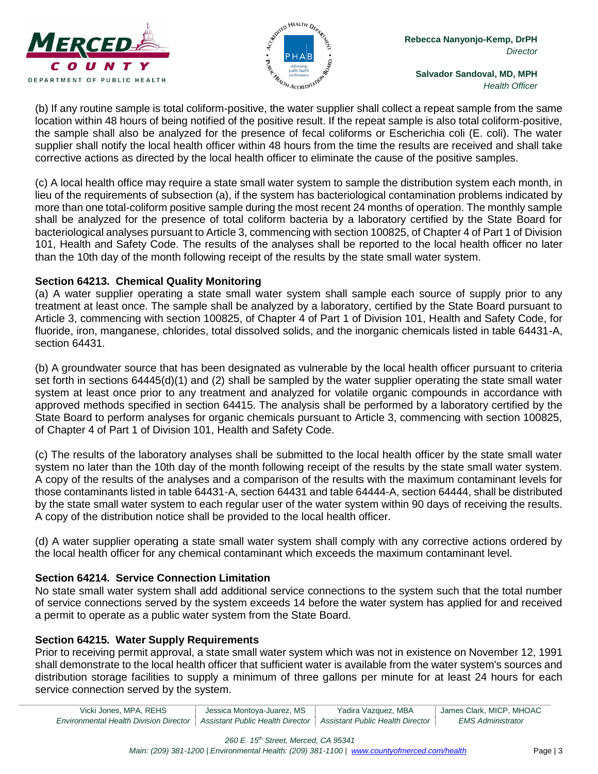



(b) If any routine sample is total coliform-positive, the water supplier shall collect a repeat sample from the same location within 48 hours of being notified of the positive result. If the repeat sample is also total coliform-positive, the sample shall also be analyzed for the presence of fecal coliforms or Escherichia coli (E. coli). The water supplier shall notify the local health officer within 48 hours from the time the results are received and shall take corrective actions as directed by the local health officer to eliminate the cause of the positive samples.

(c) A local health office may require a state small water system to sample the distribution system each month, in lieu of the requirements of subsection (a), if the system has bacteriological contamination problems indicated by more than one total-coliform positive sample during the most recent 24 months of operation. The monthly sample shall be analyzed for the presence of total coliform bacteria by a laboratory certified by the State Board for bacteriological analyses pursuant to Article 3, commencing with section 100825, of Chapter 4 of Part 1 of Division 101, Health and Safety Code. The results of the analyses shall be reported to the local health officer no later than the 10th day of the month following receipt of the results by the state small water system.

## **Section 64213. Chemical Quality Monitoring**

(a) A water supplier operating a state small water system shall sample each source of supply prior to any treatment at least once. The sample shall be analyzed by a laboratory, certified by the State Board pursuant to Article 3, commencing with section 100825, of Chapter 4 of Part 1 of Division 101, Health and Safety Code, for fluoride, iron, manganese, chlorides, total dissolved solids, and the inorganic chemicals listed in table 64431-A, section 64431.

(b) A groundwater source that has been designated as vulnerable by the local health officer pursuant to criteria set forth in sections 64445(d)(1) and (2) shall be sampled by the water supplier operating the state small water system at least once prior to any treatment and analyzed for volatile organic compounds in accordance with approved methods specified in section 64415. The analysis shall be performed by a laboratory certified by the State Board to perform analyses for organic chemicals pursuant to Article 3, commencing with section 100825, of Chapter 4 of Part 1 of Division 101, Health and Safety Code.

(c) The results of the laboratory analyses shall be submitted to the local health officer by the state small water system no later than the 10th day of the month following receipt of the results by the state small water system. A copy of the results of the analyses and a comparison of the results with the maximum contaminant levels for those contaminants listed in table 64431-A, section 64431 and table 64444-A, section 64444, shall be distributed by the state small water system to each regular user of the water system within 90 days of receiving the results. A copy of the distribution notice shall be provided to the local health officer.

(d) A water supplier operating a state small water system shall comply with any corrective actions ordered by the local health officer for any chemical contaminant which exceeds the maximum contaminant level.

## **Section 64214. Service Connection Limitation**

No state small water system shall add additional service connections to the system such that the total number of service connections served by the system exceeds 14 before the water system has applied for and received a permit to operate as a public water system from the State Board.

## **Section 64215. Water Supply Requirements**

Prior to receiving permit approval, a state small water system which was not in existence on November 12, 1991 shall demonstrate to the local health officer that sufficient water is available from the water system's sources and distribution storage facilities to supply a minimum of three gallons per minute for at least 24 hours for each service connection served by the system.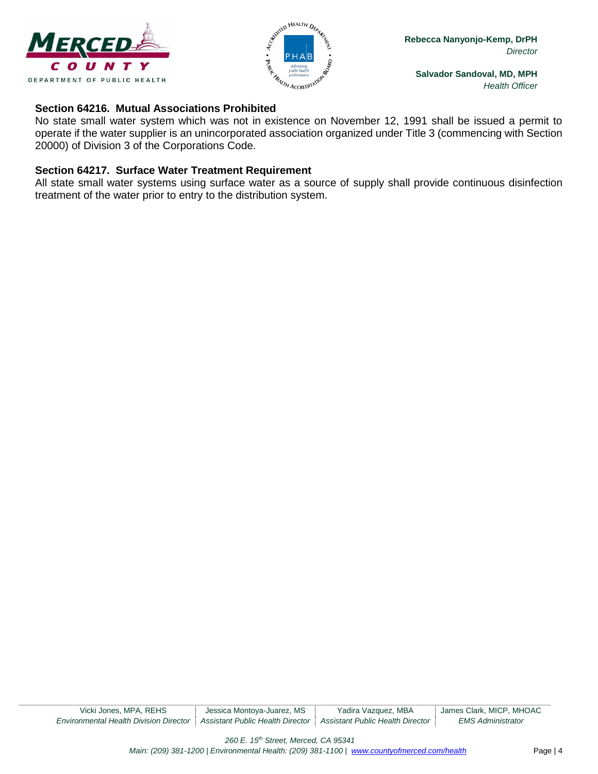



### **Section 64216. Mutual Associations Prohibited**

No state small water system which was not in existence on November 12, 1991 shall be issued a permit to operate if the water supplier is an unincorporated association organized under Title 3 (commencing with Section 20000) of Division 3 of the Corporations Code.

### **Section 64217. Surface Water Treatment Requirement**

All state small water systems using surface water as a source of supply shall provide continuous disinfection treatment of the water prior to entry to the distribution system.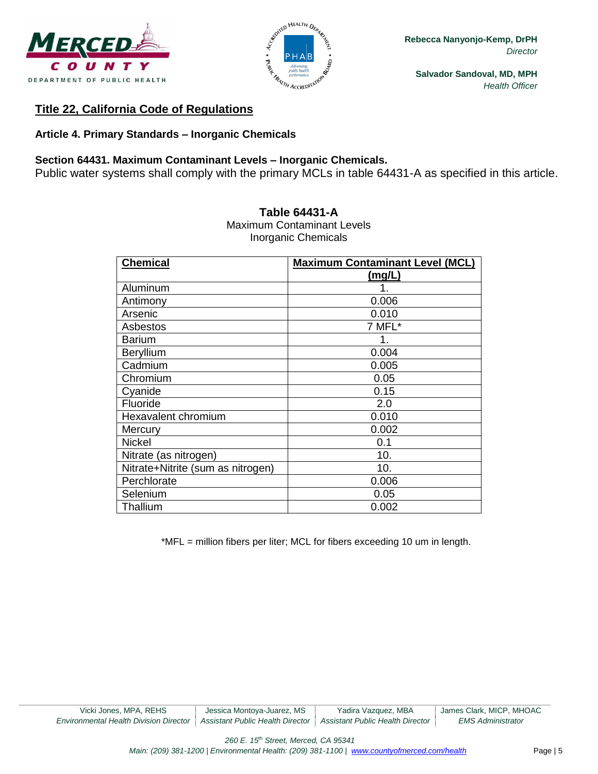



# **Title 22, California Code of Regulations**

## **Article 4. Primary Standards – Inorganic Chemicals**

## **Section 64431. Maximum Contaminant Levels – Inorganic Chemicals.**

Public water systems shall comply with the primary MCLs in table 64431-A as specified in this article.

| <b>Chemical</b>                   | <b>Maximum Contaminant Level (MCL)</b> |
|-----------------------------------|----------------------------------------|
|                                   | (mg/L)                                 |
| Aluminum                          | 1.                                     |
| Antimony                          | 0.006                                  |
| Arsenic                           | 0.010                                  |
| Asbestos                          | 7 MFL*                                 |
| <b>Barium</b>                     | 1.                                     |
| <b>Beryllium</b>                  | 0.004                                  |
| Cadmium                           | 0.005                                  |
| Chromium                          | 0.05                                   |
| Cyanide                           | 0.15                                   |
| Fluoride                          | 2.0                                    |
| Hexavalent chromium               | 0.010                                  |
| Mercury                           | 0.002                                  |
| <b>Nickel</b>                     | 0.1                                    |
| Nitrate (as nitrogen)             | 10.                                    |
| Nitrate+Nitrite (sum as nitrogen) | 10.                                    |
| Perchlorate                       | 0.006                                  |
| Selenium                          | 0.05                                   |
| Thallium                          | 0.002                                  |

#### **Table 64431-A**

Maximum Contaminant Levels Inorganic Chemicals

\*MFL = million fibers per liter; MCL for fibers exceeding 10 um in length.

*260 E. 15th Street, Merced, CA 95341*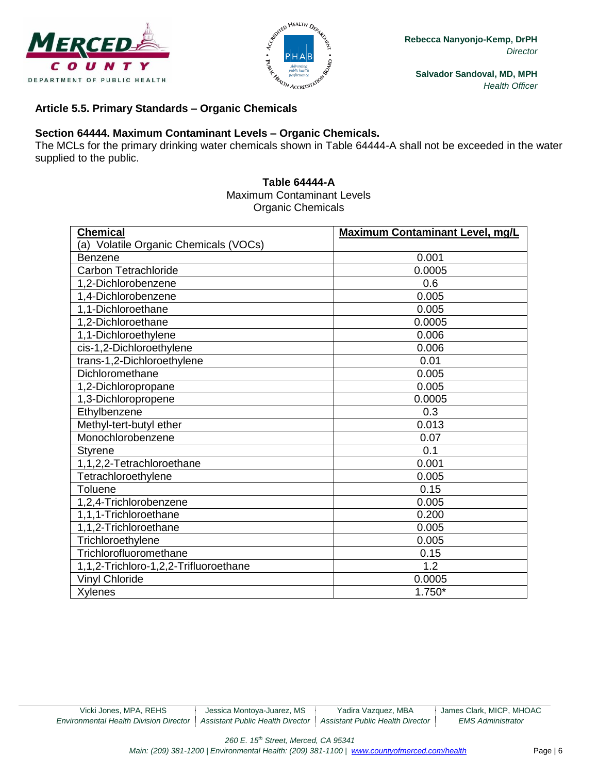



### **Article 5.5. Primary Standards – Organic Chemicals**

### **Section 64444. Maximum Contaminant Levels – Organic Chemicals.**

The MCLs for the primary drinking water chemicals shown in Table 64444-A shall not be exceeded in the water supplied to the public.

#### **Table 64444-A** Maximum Contaminant Levels Organic Chemicals

| <b>Chemical</b>                       | <b>Maximum Contaminant Level, mg/L</b> |
|---------------------------------------|----------------------------------------|
| (a) Volatile Organic Chemicals (VOCs) |                                        |
| <b>Benzene</b>                        | 0.001                                  |
| <b>Carbon Tetrachloride</b>           | 0.0005                                 |
| 1,2-Dichlorobenzene                   | 0.6                                    |
| 1,4-Dichlorobenzene                   | 0.005                                  |
| 1,1-Dichloroethane                    | 0.005                                  |
| 1,2-Dichloroethane                    | 0.0005                                 |
| 1,1-Dichloroethylene                  | 0.006                                  |
| cis-1,2-Dichloroethylene              | 0.006                                  |
| trans-1,2-Dichloroethylene            | 0.01                                   |
| Dichloromethane                       | 0.005                                  |
| 1,2-Dichloropropane                   | 0.005                                  |
| 1,3-Dichloropropene                   | 0.0005                                 |
| Ethylbenzene                          | 0.3                                    |
| Methyl-tert-butyl ether               | 0.013                                  |
| Monochlorobenzene                     | 0.07                                   |
| <b>Styrene</b>                        | 0.1                                    |
| 1,1,2,2-Tetrachloroethane             | 0.001                                  |
| Tetrachloroethylene                   | 0.005                                  |
| Toluene                               | 0.15                                   |
| 1,2,4-Trichlorobenzene                | 0.005                                  |
| 1,1,1-Trichloroethane                 | 0.200                                  |
| 1,1,2-Trichloroethane                 | 0.005                                  |
| Trichloroethylene                     | 0.005                                  |
| Trichlorofluoromethane                | 0.15                                   |
| 1,1,2-Trichloro-1,2,2-Trifluoroethane | 1.2                                    |
| <b>Vinyl Chloride</b>                 | 0.0005                                 |
| <b>Xylenes</b>                        | $1.750*$                               |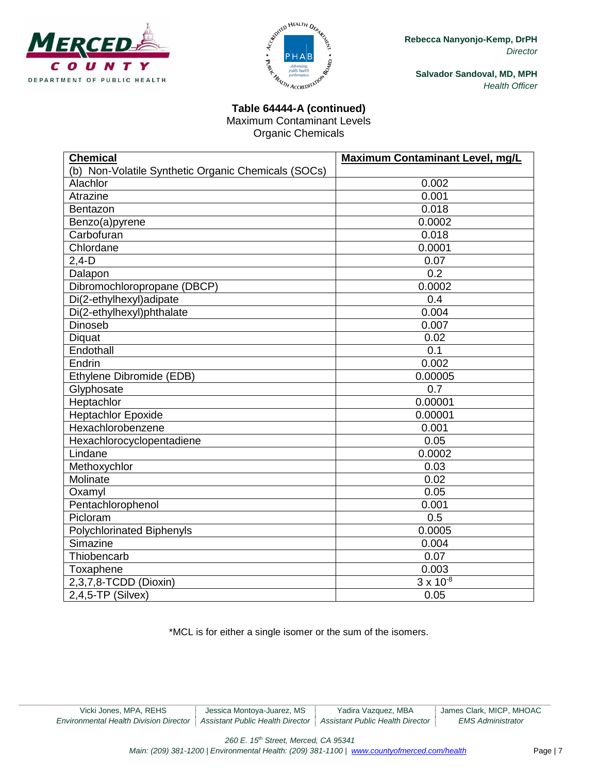



# **Table 64444-A (continued)**

Maximum Contaminant Levels Organic Chemicals

| <b>Chemical</b>                                     | Maximum Contaminant Level, mg/L |
|-----------------------------------------------------|---------------------------------|
| (b) Non-Volatile Synthetic Organic Chemicals (SOCs) |                                 |
| Alachlor                                            | 0.002                           |
| Atrazine                                            | 0.001                           |
| Bentazon                                            | 0.018                           |
| Benzo(a)pyrene                                      | 0.0002                          |
| Carbofuran                                          | 0.018                           |
| Chlordane                                           | 0.0001                          |
| $2,4-D$                                             | 0.07                            |
| Dalapon                                             | 0.2                             |
| Dibromochloropropane (DBCP)                         | 0.0002                          |
| Di(2-ethylhexyl)adipate                             | 0.4                             |
| Di(2-ethylhexyl)phthalate                           | 0.004                           |
| Dinoseb                                             | 0.007                           |
| <b>Diquat</b>                                       | 0.02                            |
| Endothall                                           | 0.1                             |
| Endrin                                              | 0.002                           |
| Ethylene Dibromide (EDB)                            | 0.00005                         |
| Glyphosate                                          | 0.7                             |
| Heptachlor                                          | 0.00001                         |
| <b>Heptachlor Epoxide</b>                           | 0.00001                         |
| Hexachlorobenzene                                   | 0.001                           |
| Hexachlorocyclopentadiene                           | 0.05                            |
| Lindane                                             | 0.0002                          |
| Methoxychlor                                        | 0.03                            |
| Molinate                                            | 0.02                            |
| Oxamyl                                              | 0.05                            |
| Pentachlorophenol                                   | 0.001                           |
| Picloram                                            | 0.5                             |
| <b>Polychlorinated Biphenyls</b>                    | 0.0005                          |
| Simazine                                            | 0.004                           |
| Thiobencarb                                         | 0.07                            |
| Toxaphene                                           | 0.003                           |
| 2,3,7,8-TCDD (Dioxin)                               | $3 \times 10^{-8}$              |
| $2,4,5$ -TP (Silvex)                                | 0.05                            |

\*MCL is for either a single isomer or the sum of the isomers.

*260 E. 15th Street, Merced, CA 95341*